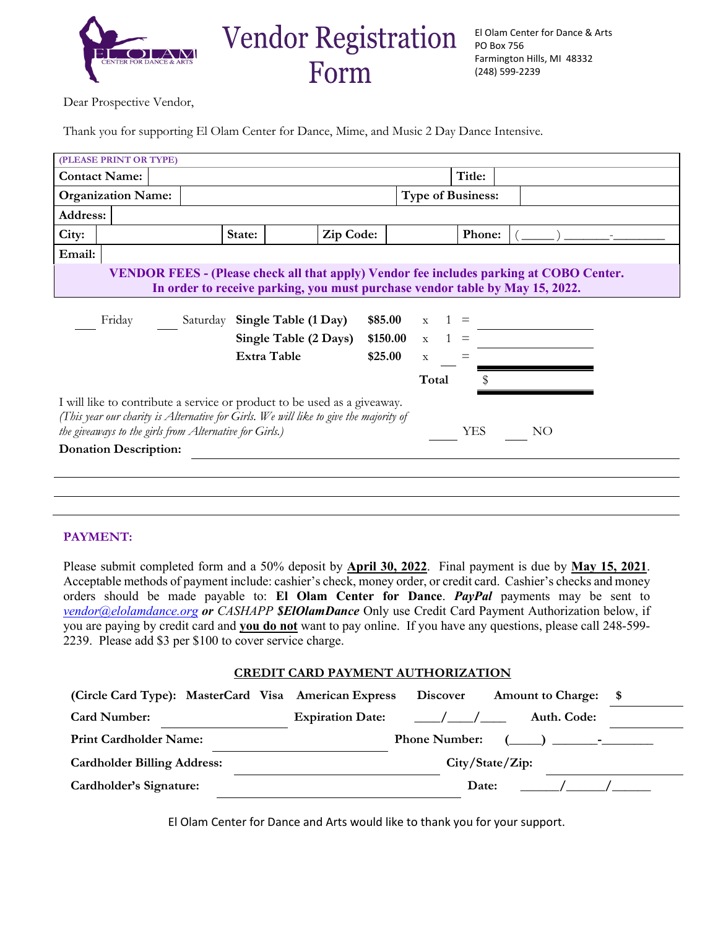

Dear Prospective Vendor,

Thank you for supporting El Olam Center for Dance, Mime, and Music 2 Day Dance Intensive.

| (PLEASE PRINT OR TYPE)                                                                                                                                                                                                                           |  |                               |           |              |        |  |  |  |  |  |  |
|--------------------------------------------------------------------------------------------------------------------------------------------------------------------------------------------------------------------------------------------------|--|-------------------------------|-----------|--------------|--------|--|--|--|--|--|--|
| <b>Contact Name:</b>                                                                                                                                                                                                                             |  |                               |           |              | Title: |  |  |  |  |  |  |
| <b>Organization Name:</b>                                                                                                                                                                                                                        |  | <b>Type of Business:</b>      |           |              |        |  |  |  |  |  |  |
| <b>Address:</b>                                                                                                                                                                                                                                  |  |                               |           |              |        |  |  |  |  |  |  |
| City:                                                                                                                                                                                                                                            |  | State:                        | Zip Code: |              | Phone: |  |  |  |  |  |  |
| Email:                                                                                                                                                                                                                                           |  |                               |           |              |        |  |  |  |  |  |  |
| <b>VENDOR FEES - (Please check all that apply) Vendor fee includes parking at COBO Center.</b><br>In order to receive parking, you must purchase vendor table by May 15, 2022.                                                                   |  |                               |           |              |        |  |  |  |  |  |  |
| Friday                                                                                                                                                                                                                                           |  | Saturday Single Table (1 Day) | \$85.00   | $\mathbf{X}$ |        |  |  |  |  |  |  |
|                                                                                                                                                                                                                                                  |  | Single Table (2 Days)         | \$150.00  | $x \quad 1$  |        |  |  |  |  |  |  |
|                                                                                                                                                                                                                                                  |  | <b>Extra Table</b>            | \$25.00   | $\mathbf X$  |        |  |  |  |  |  |  |
|                                                                                                                                                                                                                                                  |  |                               |           | Total        |        |  |  |  |  |  |  |
| I will like to contribute a service or product to be used as a giveaway.<br>(This year our charity is Alternative for Girls. We will like to give the majority of<br>the giveaways to the girls from Alternative for Girls.)<br><b>YES</b><br>NO |  |                               |           |              |        |  |  |  |  |  |  |
| <b>Donation Description:</b>                                                                                                                                                                                                                     |  |                               |           |              |        |  |  |  |  |  |  |
|                                                                                                                                                                                                                                                  |  |                               |           |              |        |  |  |  |  |  |  |
|                                                                                                                                                                                                                                                  |  |                               |           |              |        |  |  |  |  |  |  |
|                                                                                                                                                                                                                                                  |  |                               |           |              |        |  |  |  |  |  |  |

## **PAYMENT:**

Please submit completed form and a 50% deposit by **April 30, 2022**. Final payment is due by **May 15, 2021**. Acceptable methods of payment include: cashier's check, money order, or credit card. Cashier's checks and money orders should be made payable to: **El Olam Center for Dance**. *PayPal* payments may be sent to *[vendor@elolamdance.org](mailto:vendor@elolamdance.org) or CASHAPP \$ElOlamDance* Only use Credit Card Payment Authorization below, if you are paying by credit card and **you do not** want to pay online. If you have any questions, please call 248-599- 2239. Please add \$3 per \$100 to cover service charge.

## **CREDIT CARD PAYMENT AUTHORIZATION**

| (Circle Card Type): MasterCard Visa American Express |  |                         | <b>Discover</b>      | <b>Amount to Charge:</b>            | - \$ |
|------------------------------------------------------|--|-------------------------|----------------------|-------------------------------------|------|
| <b>Card Number:</b>                                  |  | <b>Expiration Date:</b> | $\frac{1}{\sqrt{2}}$ | Auth. Code:                         |      |
| <b>Print Cardholder Name:</b>                        |  |                         |                      | Phone Number: $(\_\_\_\_\_\_\_\_\_$ |      |
| <b>Cardholder Billing Address:</b>                   |  |                         |                      |                                     |      |
| Cardholder's Signature:                              |  |                         | Date:                |                                     |      |

El Olam Center for Dance and Arts would like to thank you for your support.